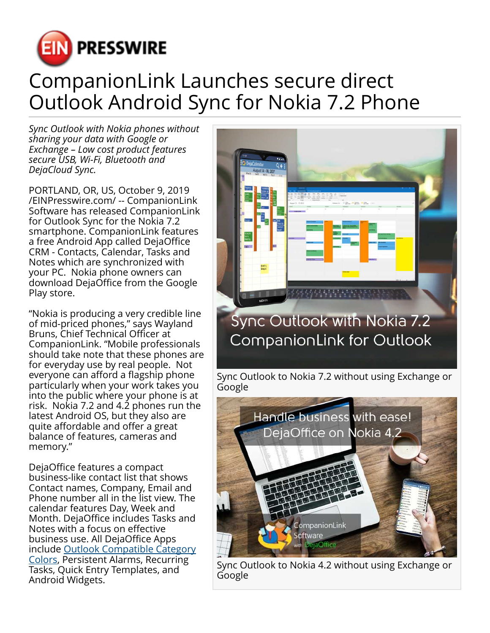

## CompanionLink Launches secure direct Outlook Android Sync for Nokia 7.2 Phone

*Sync Outlook with Nokia phones without sharing your data with Google or Exchange – Low cost product features secure USB, Wi-Fi, Bluetooth and DejaCloud Sync.*

PORTLAND, OR, US, October 9, 2019 [/EINPresswire.com/](http://www.einpresswire.com) -- CompanionLink Software has released CompanionLink for Outlook Sync for the Nokia 7.2 smartphone. CompanionLink features a free Android App called DejaOffice CRM - Contacts, Calendar, Tasks and Notes which are synchronized with your PC. Nokia phone owners can download DejaOffice from the Google Play store.

"Nokia is producing a very credible line of mid-priced phones," says Wayland Bruns, Chief Technical Officer at CompanionLink. "Mobile professionals should take note that these phones are for everyday use by real people. Not everyone can afford a flagship phone particularly when your work takes you into the public where your phone is at risk. Nokia 7.2 and 4.2 phones run the latest Android OS, but they also are quite affordable and offer a great balance of features, cameras and memory."

DejaOffice features a compact business-like contact list that shows Contact names, Company, Email and Phone number all in the list view. The calendar features Day, Week and Month. DejaOffice includes Tasks and Notes with a focus on effective business use. All DejaOffice Apps include [Outlook Compatible Category](https://www.companionlink.com/sync-outlook-calendar-color-to-android-and-iphone/http://) [Colors,](https://www.companionlink.com/sync-outlook-calendar-color-to-android-and-iphone/http://) Persistent Alarms, Recurring Tasks, Quick Entry Templates, and Android Widgets.



Sync Outlook to Nokia 4.2 without using Exchange or Google

ompanionLink

ejaOffice

**Software**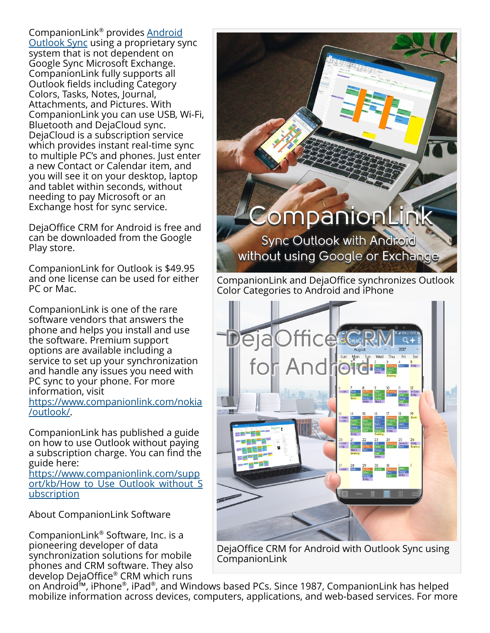CompanionLink® provides <u>[Android](https://www.companionlink.com/android/outlook/)</u> [Outlook Sync](https://www.companionlink.com/android/outlook/) using a proprietary sync system that is not dependent on Google Sync Microsoft Exchange. CompanionLink fully supports all Outlook fields including Category Colors, Tasks, Notes, Journal, Attachments, and Pictures. With CompanionLink you can use USB, Wi-Fi, Bluetooth and DejaCloud sync. DejaCloud is a subscription service which provides instant real-time sync to multiple PC's and phones. Just enter a new Contact or Calendar item, and you will see it on your desktop, laptop and tablet within seconds, without needing to pay Microsoft or an Exchange host for sync service.

DejaOffice CRM for Android is free and can be downloaded from the Google Play store.

CompanionLink for Outlook is \$49.95 and one license can be used for either PC or Mac.

CompanionLink is one of the rare software vendors that answers the phone and helps you install and use the software. Premium support options are available including a service to set up your synchronization and handle any issues you need with PC sync to your phone. For more information, visit [https://www.companionlink.com/nokia](https://www.companionlink.com/nokia/outlook/)

[/outlook/](https://www.companionlink.com/nokia/outlook/).

CompanionLink has published a guide on how to use Outlook without paying a subscription charge. You can find the guide here:

[https://www.companionlink.com/supp](https://www.companionlink.com/support/kb/How_to_Use_Outlook_without_Subscription) ort/kb/How to Use Outlook without S [ubscription](https://www.companionlink.com/support/kb/How_to_Use_Outlook_without_Subscription)

About CompanionLink Software

CompanionLink® Software, Inc. is a pioneering developer of data synchronization solutions for mobile phones and CRM software. They also develop DejaOffice® CRM which runs

Companionl **Sync Outlook with Android** without using Google or Exchange

CompanionLink and DejaOffice synchronizes Outlook Color Categories to Android and iPhone



DejaOffice CRM for Android with Outlook Sync using CompanionLink

on Android™, iPhone®, iPad®, and Windows based PCs. Since 1987, CompanionLink has helped mobilize information across devices, computers, applications, and web-based services. For more